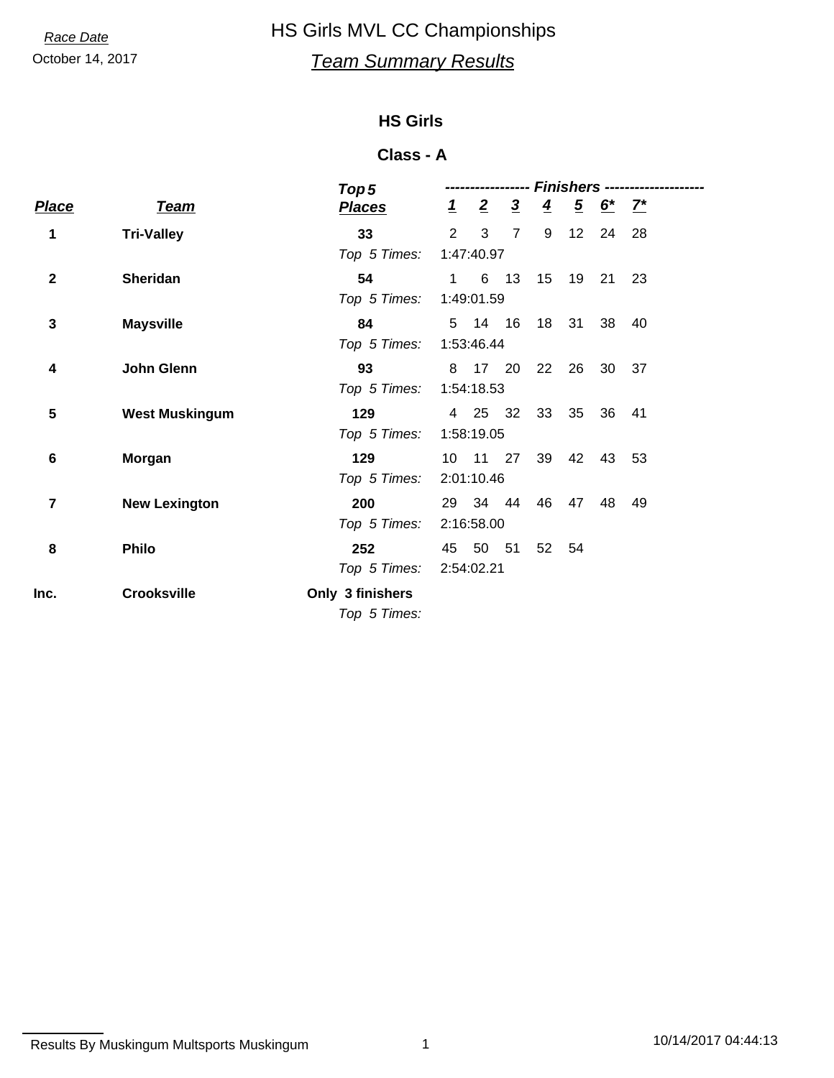## October 14, 2017 *Team Summary Results* **Race Date HS Girls MVL CC Championships**

### **HS Girls**

#### **Class - A**

|             |                       | Top <sub>5</sub> |           |                |                |                 | Finishers --   |            |    |  |
|-------------|-----------------------|------------------|-----------|----------------|----------------|-----------------|----------------|------------|----|--|
| Place       | <b>Team</b>           | <b>Places</b>    | $\perp$   | $\overline{2}$ | $\overline{3}$ | $\overline{4}$  | $\overline{5}$ | $6^{*}$ 7* |    |  |
| 1           | <b>Tri-Valley</b>     | 33               | 2         | 3              | $\overline{7}$ | 9               | 12             | 24         | 28 |  |
|             |                       | Top 5 Times:     |           | 1:47:40.97     |                |                 |                |            |    |  |
| $\mathbf 2$ | <b>Sheridan</b>       | 54               | $1 \quad$ |                | 6 13           | 15 <sub>1</sub> | 19             | 21         | 23 |  |
|             |                       | Top 5 Times:     |           | 1:49:01.59     |                |                 |                |            |    |  |
| 3           | <b>Maysville</b>      | 84               |           | 5 14 16        |                | 18              | 31             | 38         | 40 |  |
|             |                       | Top 5 Times:     |           | 1:53:46.44     |                |                 |                |            |    |  |
| 4           | John Glenn            | 93               |           | 8 17 20        |                | 22              | 26             | 30         | 37 |  |
|             |                       | Top 5 Times:     |           | 1:54:18.53     |                |                 |                |            |    |  |
| 5           | <b>West Muskingum</b> | 129              |           | 4 25           | -32            | 33              | 35             | 36         | 41 |  |
|             |                       | Top 5 Times:     |           | 1:58:19.05     |                |                 |                |            |    |  |
| 6           | Morgan                | 129              |           | 10 11 27       |                | 39              | 42             | 43         | 53 |  |
|             |                       | Top 5 Times:     |           | 2:01:10.46     |                |                 |                |            |    |  |
| 7           | <b>New Lexington</b>  | 200              |           | 29 34 44       |                | 46              | 47             | 48         | 49 |  |
|             |                       | Top 5 Times:     |           | 2:16:58.00     |                |                 |                |            |    |  |
| 8           | <b>Philo</b>          | 252              | 45        | 50             | 51             |                 | 52 54          |            |    |  |
|             |                       | Top 5 Times:     |           | 2:54:02.21     |                |                 |                |            |    |  |
| Inc.        | <b>Crooksville</b>    | Only 3 finishers |           |                |                |                 |                |            |    |  |
|             |                       | Top 5 Times:     |           |                |                |                 |                |            |    |  |
|             |                       |                  |           |                |                |                 |                |            |    |  |

```
Results By Muskingum Multsports Muskingum 1 1 1 1 1 10/14/2017 04:44:13
```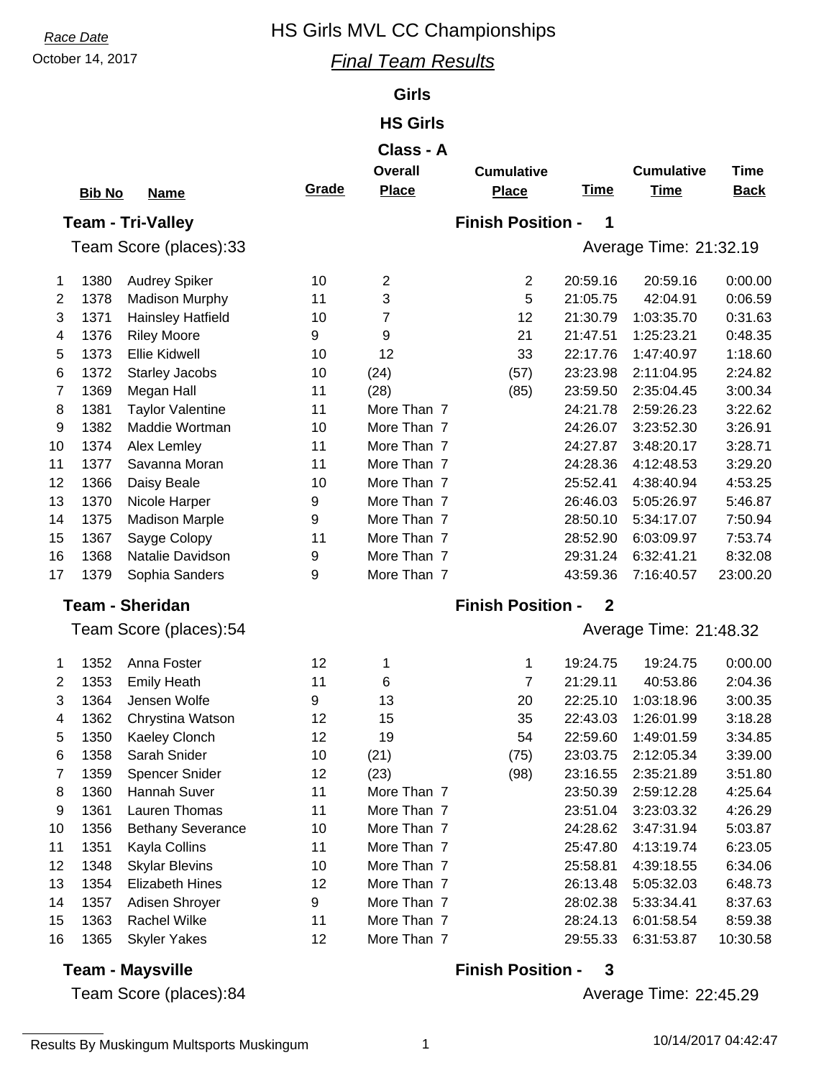## **Race Date HS Girls MVL CC Championships**

#### October 14, 2017 *Final Team Results*

#### **Girls**

#### **HS Girls**

## **Class - A**

|                | Giass - A     |                          |       |                |                          |                  |                        |             |  |
|----------------|---------------|--------------------------|-------|----------------|--------------------------|------------------|------------------------|-------------|--|
|                |               |                          |       | <b>Overall</b> | <b>Cumulative</b>        |                  | <b>Cumulative</b>      | <b>Time</b> |  |
|                | <b>Bib No</b> | <b>Name</b>              | Grade | <b>Place</b>   | <b>Place</b>             | <b>Time</b>      | <b>Time</b>            | <b>Back</b> |  |
|                |               | <b>Team - Tri-Valley</b> |       |                | <b>Finish Position -</b> | 1                |                        |             |  |
|                |               | Team Score (places):33   |       |                |                          |                  | Average Time: 21:32.19 |             |  |
| 1              | 1380          | Audrey Spiker            | 10    | $\overline{c}$ | $\overline{c}$           | 20:59.16         | 20:59.16               | 0:00.00     |  |
| $\overline{2}$ | 1378          | <b>Madison Murphy</b>    | 11    | 3              | 5                        | 21:05.75         | 42:04.91               | 0:06.59     |  |
| 3              | 1371          | <b>Hainsley Hatfield</b> | 10    | 7              | 12                       | 21:30.79         | 1:03:35.70             | 0:31.63     |  |
| 4              | 1376          | <b>Riley Moore</b>       | 9     | 9              | 21                       | 21:47.51         | 1:25:23.21             | 0:48.35     |  |
| 5              | 1373          | <b>Ellie Kidwell</b>     | 10    | 12             | 33                       | 22:17.76         | 1:47:40.97             | 1:18.60     |  |
| 6              | 1372          | <b>Starley Jacobs</b>    | 10    | (24)           | (57)                     | 23:23.98         | 2:11:04.95             | 2:24.82     |  |
| 7              | 1369          | Megan Hall               | 11    | (28)           | (85)                     | 23:59.50         | 2:35:04.45             | 3:00.34     |  |
| 8              | 1381          | <b>Taylor Valentine</b>  | 11    | More Than 7    |                          | 24:21.78         | 2:59:26.23             | 3:22.62     |  |
| 9              | 1382          | Maddie Wortman           | 10    | More Than 7    |                          | 24:26.07         | 3:23:52.30             | 3:26.91     |  |
| 10             | 1374          | Alex Lemley              | 11    | More Than 7    |                          | 24:27.87         | 3:48:20.17             | 3:28.71     |  |
| 11             | 1377          | Savanna Moran            | 11    | More Than 7    |                          | 24:28.36         | 4:12:48.53             | 3:29.20     |  |
| 12             | 1366          | Daisy Beale              | 10    | More Than 7    |                          | 25:52.41         | 4:38:40.94             | 4:53.25     |  |
| 13             | 1370          | Nicole Harper            | 9     | More Than 7    |                          | 26:46.03         | 5:05:26.97             | 5:46.87     |  |
| 14             | 1375          | <b>Madison Marple</b>    | 9     | More Than 7    |                          | 28:50.10         | 5:34:17.07             | 7:50.94     |  |
| 15             | 1367          | Sayge Colopy             | 11    | More Than 7    |                          | 28:52.90         | 6:03:09.97             | 7:53.74     |  |
| 16             | 1368          | Natalie Davidson         | 9     | More Than 7    |                          | 29:31.24         | 6:32:41.21             | 8:32.08     |  |
| 17             | 1379          | Sophia Sanders           | 9     | More Than 7    |                          | 43:59.36         | 7:16:40.57             | 23:00.20    |  |
|                |               | <b>Team - Sheridan</b>   |       |                | <b>Finish Position -</b> | $\mathbf{2}$     |                        |             |  |
|                |               | Team Score (places):54   |       |                |                          |                  | Average Time: 21:48.32 |             |  |
| 1              | 1352          | Anna Foster              | 12    | 1              | 1                        | 19:24.75         | 19:24.75               | 0:00.00     |  |
| 2              | 1353          | <b>Emily Heath</b>       | 11    | 6              | 7                        | 21:29.11         | 40:53.86               | 2:04.36     |  |
| 3              | 1364          | Jensen Wolfe             | 9     | 13             | 20                       | 22:25.10         | 1:03:18.96             | 3:00.35     |  |
| 4              | 1362          | Chrystina Watson         | 12    | 15             | 35                       | 22:43.03         | 1:26:01.99             | 3:18.28     |  |
| 5              | 1350          | Kaeley Clonch            | 12    | 19             | 54                       | 22:59.60         | 1:49:01.59             | 3:34.85     |  |
| 6              | 1358          | Sarah Snider             | 10    | (21)           | (75)                     | 23:03.75         | 2:12:05.34             | 3:39.00     |  |
| 7              | 1359          | Spencer Snider           | 12    | (23)           | (98)                     | 23:16.55         | 2:35:21.89             | 3:51.80     |  |
| 8              | 1360          | Hannah Suver             | 11    | More Than 7    |                          | 23:50.39         | 2:59:12.28             | 4:25.64     |  |
| 9              | 1361          | Lauren Thomas            | 11    | More Than 7    |                          | 23:51.04         | 3:23:03.32             | 4:26.29     |  |
| 10             | 1356          | <b>Bethany Severance</b> | 10    | More Than 7    |                          | 24:28.62         | 3:47:31.94             | 5:03.87     |  |
| 11             | 1351          | Kayla Collins            | 11    | More Than 7    |                          | 25:47.80         | 4:13:19.74             | 6:23.05     |  |
| 12             | 1348          | <b>Skylar Blevins</b>    | 10    | More Than 7    |                          | 25:58.81         | 4:39:18.55             | 6:34.06     |  |
| 13             | 1354          | <b>Elizabeth Hines</b>   | 12    | More Than 7    |                          | 26:13.48         | 5:05:32.03             | 6:48.73     |  |
| 14             | 1357          | Adisen Shroyer           | 9     | More Than 7    |                          | 28:02.38         | 5:33:34.41             | 8:37.63     |  |
| 15             | 1363          | Rachel Wilke             | 11    | More Than 7    |                          | 28:24.13         | 6:01:58.54             | 8:59.38     |  |
| 16             | 1365          | <b>Skyler Yakes</b>      | 12    | More Than 7    |                          | 29:55.33         | 6:31:53.87             | 10:30.58    |  |
|                |               | <b>Team - Maysville</b>  |       |                | <b>Finish Position -</b> | $\boldsymbol{3}$ |                        |             |  |

### **Team - Maysville**

Team Score (places):84

Average Time: 22:45.29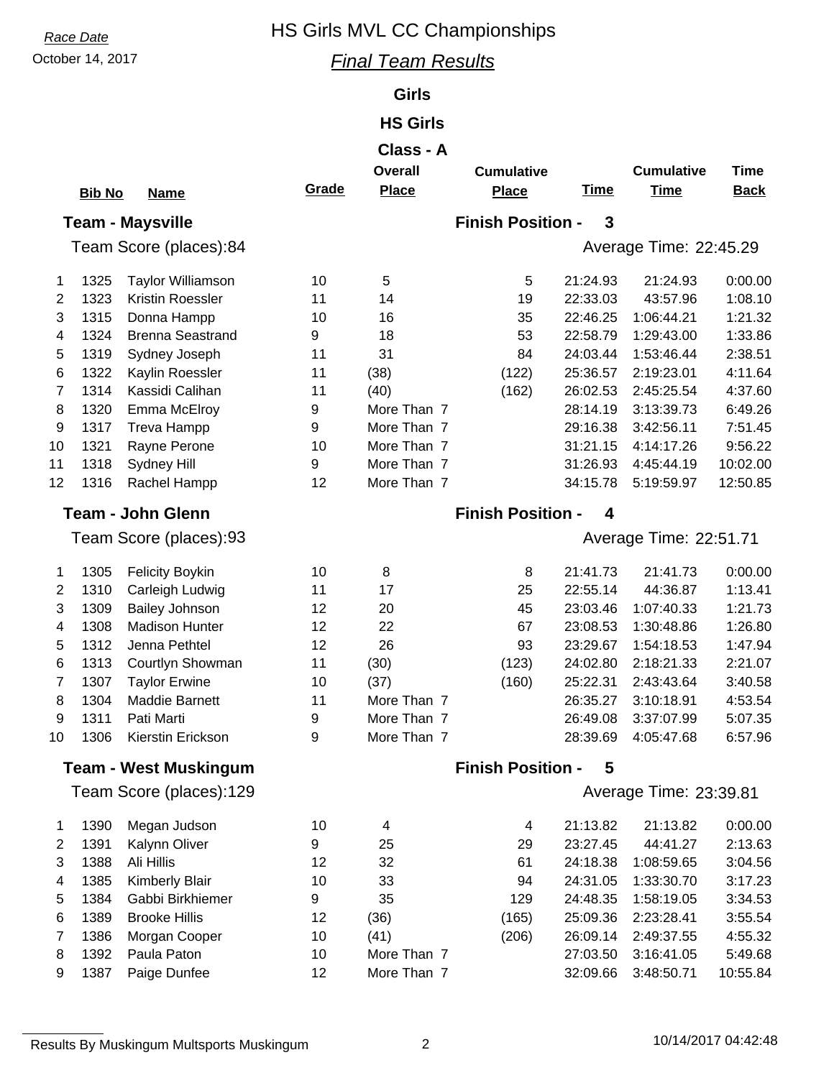## **Race Date HS Girls MVL CC Championships**

#### October 14, 2017 *Final Team Results*

#### **Girls**

### **HS Girls**

#### **Class - A**

|                          | <b>Bib No</b> | <b>Name</b>                  | Grade | <b>Overall</b><br><b>Place</b>           | <b>Cumulative</b><br><b>Place</b> | <b>Time</b> | <b>Cumulative</b><br><b>Time</b> | <b>Time</b><br><b>Back</b> |  |  |
|--------------------------|---------------|------------------------------|-------|------------------------------------------|-----------------------------------|-------------|----------------------------------|----------------------------|--|--|
|                          |               | <b>Team - Maysville</b>      |       | <b>Finish Position -</b><br>$\mathbf{3}$ |                                   |             |                                  |                            |  |  |
| Team Score (places):84   |               |                              |       |                                          |                                   |             | Average Time: 22:45.29           |                            |  |  |
| 1                        | 1325          | <b>Taylor Williamson</b>     | 10    | 5                                        | 5                                 | 21:24.93    | 21:24.93                         | 0:00.00                    |  |  |
| 2                        | 1323          | Kristin Roessler             | 11    | 14                                       | 19                                | 22:33.03    | 43:57.96                         | 1:08.10                    |  |  |
| 3                        | 1315          | Donna Hampp                  | 10    | 16                                       | 35                                | 22:46.25    | 1:06:44.21                       | 1:21.32                    |  |  |
| 4                        | 1324          | <b>Brenna Seastrand</b>      | 9     | 18                                       | 53                                | 22:58.79    | 1:29:43.00                       | 1:33.86                    |  |  |
| 5                        | 1319          | Sydney Joseph                | 11    | 31                                       | 84                                | 24:03.44    | 1:53:46.44                       | 2:38.51                    |  |  |
| 6                        | 1322          | Kaylin Roessler              | 11    | (38)                                     | (122)                             | 25:36.57    | 2:19:23.01                       | 4:11.64                    |  |  |
| 7                        | 1314          | Kassidi Calihan              | 11    | (40)                                     | (162)                             | 26:02.53    | 2:45:25.54                       | 4:37.60                    |  |  |
| 8                        | 1320          | Emma McElroy                 | 9     | More Than 7                              |                                   | 28:14.19    | 3:13:39.73                       | 6:49.26                    |  |  |
| 9                        | 1317          | Treva Hampp                  | 9     | More Than 7                              |                                   | 29:16.38    | 3:42:56.11                       | 7:51.45                    |  |  |
| 10                       | 1321          | Rayne Perone                 | 10    | More Than 7                              |                                   | 31:21.15    | 4:14:17.26                       | 9:56.22                    |  |  |
| 11                       | 1318          | Sydney Hill                  | 9     | More Than 7                              |                                   | 31:26.93    | 4:45:44.19                       | 10:02.00                   |  |  |
| 12                       | 1316          | Rachel Hampp                 | 12    | More Than 7                              |                                   | 34:15.78    | 5:19:59.97                       | 12:50.85                   |  |  |
| <b>Team - John Glenn</b> |               |                              |       |                                          | <b>Finish Position -</b>          | 4           |                                  |                            |  |  |
|                          |               | Team Score (places):93       |       |                                          |                                   |             | Average Time: 22:51.71           |                            |  |  |
| 1                        | 1305          | <b>Felicity Boykin</b>       | 10    | 8                                        | 8                                 | 21:41.73    | 21:41.73                         | 0:00.00                    |  |  |
| 2                        | 1310          | Carleigh Ludwig              | 11    | 17                                       | 25                                | 22:55.14    | 44:36.87                         | 1:13.41                    |  |  |
| 3                        | 1309          | <b>Bailey Johnson</b>        | 12    | 20                                       | 45                                | 23:03.46    | 1:07:40.33                       | 1:21.73                    |  |  |
| 4                        | 1308          | <b>Madison Hunter</b>        | 12    | 22                                       | 67                                | 23:08.53    | 1:30:48.86                       | 1:26.80                    |  |  |
| 5                        | 1312          | Jenna Pethtel                | 12    | 26                                       | 93                                | 23:29.67    | 1:54:18.53                       | 1:47.94                    |  |  |
| 6                        | 1313          | Courtlyn Showman             | 11    | (30)                                     | (123)                             | 24:02.80    | 2:18:21.33                       | 2:21.07                    |  |  |
| 7                        | 1307          | <b>Taylor Erwine</b>         | 10    | (37)                                     | (160)                             | 25:22.31    | 2:43:43.64                       | 3:40.58                    |  |  |
| 8                        | 1304          | Maddie Barnett               | 11    | More Than 7                              |                                   | 26:35.27    | 3:10:18.91                       | 4:53.54                    |  |  |
| 9                        | 1311          | Pati Marti                   | 9     | More Than 7                              |                                   | 26:49.08    | 3:37:07.99                       | 5:07.35                    |  |  |
| 10                       | 1306          | Kierstin Erickson            | 9     | More Than 7                              |                                   | 28:39.69    | 4:05:47.68                       | 6:57.96                    |  |  |
|                          |               | <b>Team - West Muskingum</b> |       |                                          | <b>Finish Position</b>            | 5           |                                  |                            |  |  |
|                          |               | Team Score (places):129      |       |                                          |                                   |             | Average Time: 23:39.81           |                            |  |  |
| 1                        | 1390          | Megan Judson                 | 10    | 4                                        | $\overline{\mathcal{A}}$          | 21:13.82    | 21:13.82                         | 0:00.00                    |  |  |
| $\overline{2}$           | 1391          | Kalynn Oliver                | 9     | 25                                       | 29                                | 23:27.45    | 44:41.27                         | 2:13.63                    |  |  |
| 3                        | 1388          | Ali Hillis                   | 12    | 32                                       | 61                                | 24:18.38    | 1:08:59.65                       | 3:04.56                    |  |  |
| 4                        | 1385          | <b>Kimberly Blair</b>        | 10    | 33                                       | 94                                | 24:31.05    | 1:33:30.70                       | 3:17.23                    |  |  |
| 5                        | 1384          | Gabbi Birkhiemer             | 9     | 35                                       | 129                               | 24:48.35    | 1:58:19.05                       | 3:34.53                    |  |  |
| 6                        | 1389          | <b>Brooke Hillis</b>         | 12    | (36)                                     | (165)                             | 25:09.36    | 2:23:28.41                       | 3:55.54                    |  |  |
| 7                        | 1386          | Morgan Cooper                | 10    | (41)                                     | (206)                             | 26:09.14    | 2:49:37.55                       | 4:55.32                    |  |  |
| 8                        | 1392          | Paula Paton                  | 10    | More Than 7                              |                                   | 27:03.50    | 3:16:41.05                       | 5:49.68                    |  |  |
| 9                        | 1387          | Paige Dunfee                 | 12    | More Than 7                              |                                   | 32:09.66    | 3:48:50.71                       | 10:55.84                   |  |  |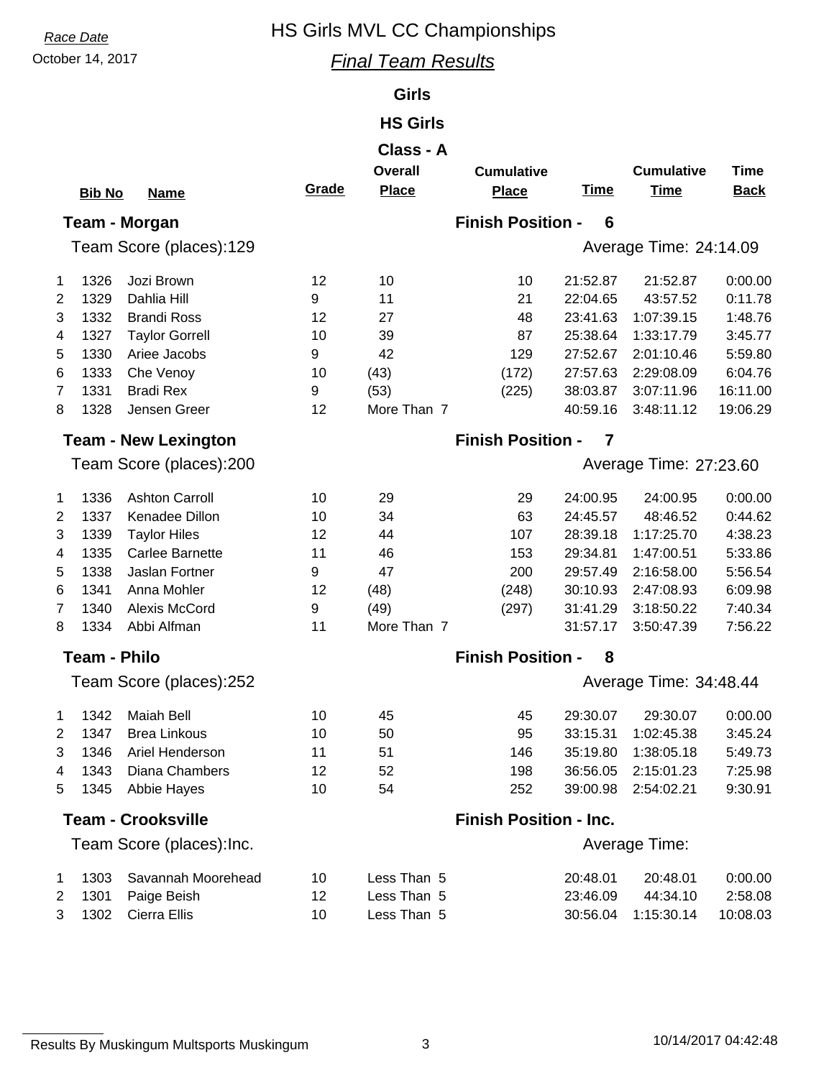## **Race Date HS Girls MVL CC Championships**

### October 14, 2017 *Final Team Results*

#### **Girls**

### **HS Girls**

|                |                     |                             |       | Class - A      |                               |             |                        |             |
|----------------|---------------------|-----------------------------|-------|----------------|-------------------------------|-------------|------------------------|-------------|
|                |                     |                             |       | <b>Overall</b> | <b>Cumulative</b>             |             | <b>Cumulative</b>      | <b>Time</b> |
|                | <b>Bib No</b>       | <b>Name</b>                 | Grade | <b>Place</b>   | <b>Place</b>                  | <b>Time</b> | <b>Time</b>            | <b>Back</b> |
|                |                     | Team - Morgan               |       |                | <b>Finish Position -</b>      | 6           |                        |             |
|                |                     | Team Score (places):129     |       |                |                               |             | Average Time: 24:14.09 |             |
|                |                     |                             |       |                |                               |             |                        |             |
| 1              | 1326                | Jozi Brown                  | 12    | 10             | 10                            | 21:52.87    | 21:52.87               | 0:00.00     |
| $\overline{2}$ | 1329                | Dahlia Hill                 | 9     | 11             | 21                            | 22:04.65    | 43:57.52               | 0:11.78     |
| 3              | 1332                | <b>Brandi Ross</b>          | 12    | 27             | 48                            | 23:41.63    | 1:07:39.15             | 1:48.76     |
| 4              | 1327                | <b>Taylor Gorrell</b>       | 10    | 39             | 87                            | 25:38.64    | 1:33:17.79             | 3:45.77     |
| 5              | 1330                | Ariee Jacobs                | 9     | 42             | 129                           | 27:52.67    | 2:01:10.46             | 5:59.80     |
| 6              | 1333                | Che Venoy                   | 10    | (43)           | (172)                         | 27:57.63    | 2:29:08.09             | 6:04.76     |
| 7              | 1331                | <b>Bradi Rex</b>            | 9     | (53)           | (225)                         | 38:03.87    | 3:07:11.96             | 16:11.00    |
| 8              | 1328                | Jensen Greer                | 12    | More Than 7    |                               | 40:59.16    | 3:48:11.12             | 19:06.29    |
|                |                     | <b>Team - New Lexington</b> |       |                | <b>Finish Position -</b>      | 7           |                        |             |
|                |                     | Team Score (places):200     |       |                |                               |             | Average Time: 27:23.60 |             |
| 1              | 1336                | <b>Ashton Carroll</b>       | 10    | 29             | 29                            | 24:00.95    | 24:00.95               | 0:00.00     |
| 2              | 1337                | Kenadee Dillon              | 10    | 34             | 63                            | 24:45.57    | 48:46.52               | 0:44.62     |
| 3              | 1339                | <b>Taylor Hiles</b>         | 12    | 44             | 107                           | 28:39.18    | 1:17:25.70             | 4:38.23     |
| 4              | 1335                | Carlee Barnette             | 11    | 46             | 153                           | 29:34.81    | 1:47:00.51             | 5:33.86     |
| 5              | 1338                | Jaslan Fortner              | 9     | 47             | 200                           | 29:57.49    | 2:16:58.00             | 5:56.54     |
| 6              | 1341                | Anna Mohler                 | 12    | (48)           | (248)                         | 30:10.93    | 2:47:08.93             | 6:09.98     |
| 7              | 1340                | Alexis McCord               | 9     | (49)           | (297)                         | 31:41.29    | 3:18:50.22             | 7:40.34     |
| 8              | 1334                | Abbi Alfman                 | 11    | More Than 7    |                               | 31:57.17    | 3:50:47.39             | 7:56.22     |
|                | <b>Team - Philo</b> |                             |       |                | <b>Finish Position -</b>      | 8           |                        |             |
|                |                     | Team Score (places):252     |       |                |                               |             | Average Time: 34:48.44 |             |
| 1              | 1342                | <b>Maiah Bell</b>           | 10    | 45             | 45                            | 29:30.07    | 29:30.07               | 0:00.00     |
| $\overline{2}$ | 1347                | <b>Brea Linkous</b>         | 10    | 50             | 95                            | 33:15.31    | 1:02:45.38             | 3:45.24     |
| 3              | 1346                | Ariel Henderson             | 11    | 51             | 146                           | 35:19.80    | 1:38:05.18             | 5:49.73     |
| 4              | 1343                | Diana Chambers              | 12    | 52             | 198                           | 36:56.05    | 2:15:01.23             | 7:25.98     |
| 5              | 1345                | Abbie Hayes                 | 10    | 54             | 252                           | 39:00.98    | 2:54:02.21             | 9:30.91     |
|                |                     | <b>Team - Crooksville</b>   |       |                | <b>Finish Position - Inc.</b> |             |                        |             |
|                |                     | Team Score (places): Inc.   |       |                |                               |             | Average Time:          |             |
| 1              | 1303                | Savannah Moorehead          | 10    | Less Than 5    |                               | 20:48.01    | 20:48.01               | 0:00.00     |
| 2              | 1301                | Paige Beish                 | 12    | Less Than 5    |                               | 23:46.09    | 44:34.10               | 2:58.08     |

3 1302 Cierra Ellis 10 Less Than 5 30:56.04 1:15:30.14 10:08.03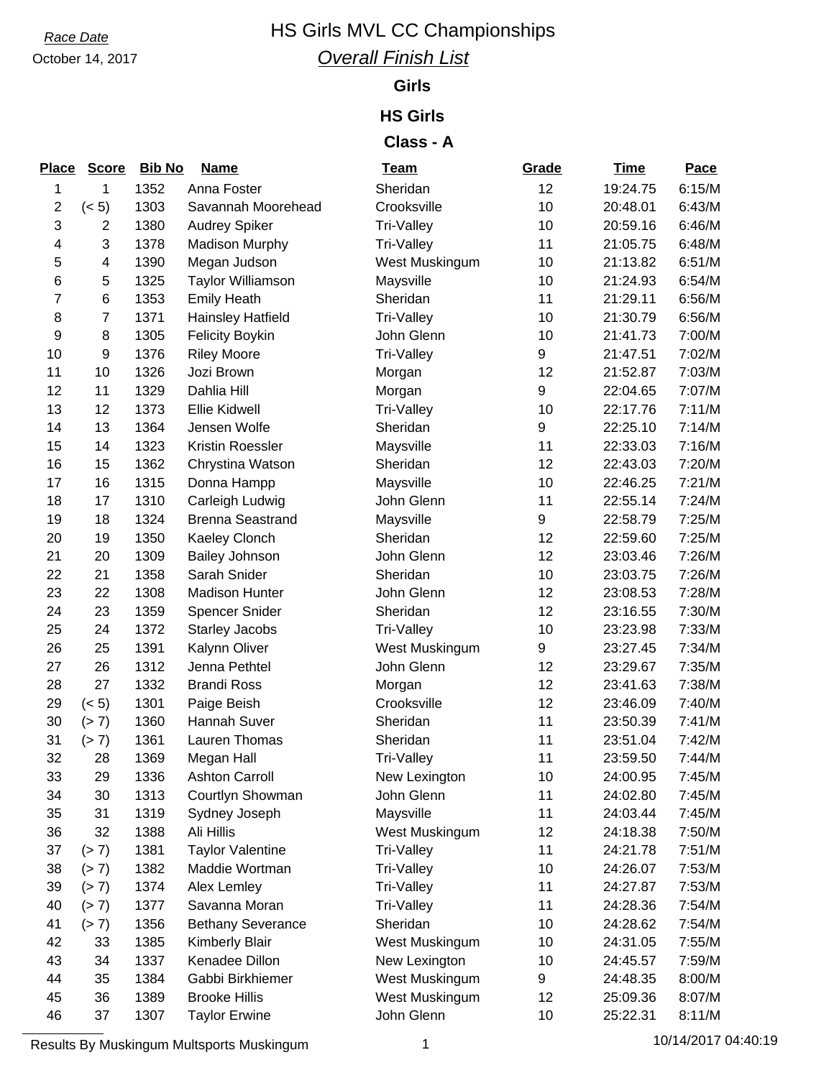# October 14, 2017

## **Race Date HS Girls MVL CC Championships** *Overall Finish List*

#### **Girls**

#### **HS Girls**

### **Class - A**

| <b>Place</b>    | <b>Score</b>   | <b>Bib No</b> | <b>Name</b>              | <b>Team</b>    | Grade | <b>Time</b> | Pace   |
|-----------------|----------------|---------------|--------------------------|----------------|-------|-------------|--------|
| 1               | 1              | 1352          | Anna Foster              | Sheridan       | 12    | 19:24.75    | 6:15/M |
| 2               | (< 5)          | 1303          | Savannah Moorehead       | Crooksville    | 10    | 20:48.01    | 6:43/M |
| 3               | 2              | 1380          | <b>Audrey Spiker</b>     | Tri-Valley     | 10    | 20:59.16    | 6:46/M |
| 4               | 3              | 1378          | <b>Madison Murphy</b>    | Tri-Valley     | 11    | 21:05.75    | 6:48/M |
| 5               | 4              | 1390          | Megan Judson             | West Muskingum | 10    | 21:13.82    | 6:51/M |
| $6\phantom{1}6$ | 5              | 1325          | <b>Taylor Williamson</b> | Maysville      | 10    | 21:24.93    | 6:54/M |
| 7               | 6              | 1353          | <b>Emily Heath</b>       | Sheridan       | 11    | 21:29.11    | 6:56/M |
| 8               | $\overline{7}$ | 1371          | <b>Hainsley Hatfield</b> | Tri-Valley     | 10    | 21:30.79    | 6:56/M |
| 9               | 8              | 1305          | <b>Felicity Boykin</b>   | John Glenn     | 10    | 21:41.73    | 7:00/M |
| 10              | 9              | 1376          | <b>Riley Moore</b>       | Tri-Valley     | 9     | 21:47.51    | 7:02/M |
| 11              | 10             | 1326          | Jozi Brown               | Morgan         | 12    | 21:52.87    | 7:03/M |
| 12              | 11             | 1329          | Dahlia Hill              | Morgan         | 9     | 22:04.65    | 7:07/M |
| 13              | 12             | 1373          | <b>Ellie Kidwell</b>     | Tri-Valley     | 10    | 22:17.76    | 7:11/M |
| 14              | 13             | 1364          | Jensen Wolfe             | Sheridan       | 9     | 22:25.10    | 7:14/M |
| 15              | 14             | 1323          | Kristin Roessler         | Maysville      | 11    | 22:33.03    | 7:16/M |
| 16              | 15             | 1362          | Chrystina Watson         | Sheridan       | 12    | 22:43.03    | 7:20/M |
| 17              | 16             | 1315          | Donna Hampp              | Maysville      | 10    | 22:46.25    | 7:21/M |
| 18              | 17             | 1310          | Carleigh Ludwig          | John Glenn     | 11    | 22:55.14    | 7:24/M |
| 19              | 18             | 1324          | <b>Brenna Seastrand</b>  | Maysville      | 9     | 22:58.79    | 7:25/M |
| 20              | 19             | 1350          | Kaeley Clonch            | Sheridan       | 12    | 22:59.60    | 7:25/M |
| 21              | 20             | 1309          | <b>Bailey Johnson</b>    | John Glenn     | 12    | 23:03.46    | 7:26/M |
| 22              | 21             | 1358          | Sarah Snider             | Sheridan       | 10    | 23:03.75    | 7:26/M |
| 23              | 22             | 1308          | <b>Madison Hunter</b>    | John Glenn     | 12    | 23:08.53    | 7:28/M |
| 24              | 23             | 1359          | <b>Spencer Snider</b>    | Sheridan       | 12    | 23:16.55    | 7:30/M |
| 25              | 24             | 1372          | <b>Starley Jacobs</b>    | Tri-Valley     | 10    | 23:23.98    | 7:33/M |
| 26              | 25             | 1391          | Kalynn Oliver            | West Muskingum | 9     | 23:27.45    | 7:34/M |
| 27              | 26             | 1312          | Jenna Pethtel            | John Glenn     | 12    | 23:29.67    | 7:35/M |
| 28              | 27             | 1332          | <b>Brandi Ross</b>       | Morgan         | 12    | 23:41.63    | 7:38/M |
| 29              | (< 5)          | 1301          | Paige Beish              | Crooksville    | 12    | 23:46.09    | 7:40/M |
| 30              | (> 7)          | 1360          | Hannah Suver             | Sheridan       | 11    | 23:50.39    | 7:41/M |
| 31              | (> 7)          | 1361          | Lauren Thomas            | Sheridan       | 11    | 23:51.04    | 7:42/M |
| 32              | 28             | 1369          | Megan Hall               | Tri-Valley     | 11    | 23:59.50    | 7:44/M |
| 33              | 29             | 1336          | <b>Ashton Carroll</b>    | New Lexington  | 10    | 24:00.95    | 7:45/M |
| 34              | 30             | 1313          | Courtlyn Showman         | John Glenn     | 11    | 24:02.80    | 7:45/M |
| 35              | 31             | 1319          | Sydney Joseph            | Maysville      | 11    | 24:03.44    | 7:45/M |
| 36              | 32             | 1388          | Ali Hillis               | West Muskingum | 12    | 24:18.38    | 7:50/M |
| 37              | (> 7)          | 1381          | <b>Taylor Valentine</b>  | Tri-Valley     | 11    | 24:21.78    | 7:51/M |
| 38              | (> 7)          | 1382          | Maddie Wortman           | Tri-Valley     | 10    | 24:26.07    | 7:53/M |
| 39              | (> 7)          | 1374          | Alex Lemley              | Tri-Valley     | 11    | 24:27.87    | 7:53/M |
| 40              | (> 7)          | 1377          | Savanna Moran            | Tri-Valley     | 11    | 24:28.36    | 7:54/M |
| 41              | (> 7)          | 1356          | <b>Bethany Severance</b> | Sheridan       | 10    | 24:28.62    | 7:54/M |
| 42              | 33             | 1385          | <b>Kimberly Blair</b>    | West Muskingum | 10    | 24:31.05    | 7:55/M |
| 43              | 34             | 1337          | Kenadee Dillon           | New Lexington  | 10    | 24:45.57    | 7:59/M |
| 44              | 35             | 1384          | Gabbi Birkhiemer         | West Muskingum | 9     | 24:48.35    | 8:00/M |
| 45              | 36             | 1389          | <b>Brooke Hillis</b>     | West Muskingum | 12    | 25:09.36    | 8:07/M |
| 46              | 37             | 1307          | <b>Taylor Erwine</b>     | John Glenn     | 10    | 25:22.31    | 8:11/M |

Results By Muskingum Multsports Muskingum 1 10/14/2017 04:40:19